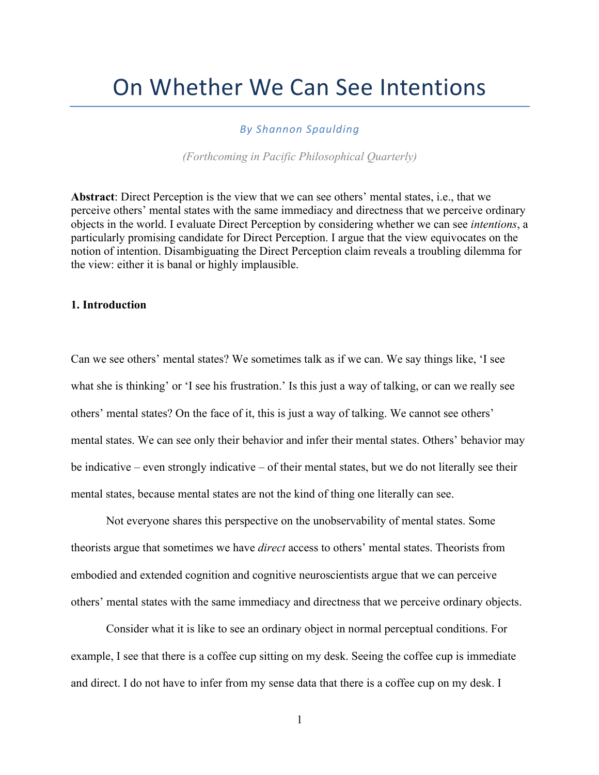# On Whether We Can See Intentions

## *By#Shannon#Spaulding*

*(Forthcoming in Pacific Philosophical Quarterly)*

**Abstract**: Direct Perception is the view that we can see others' mental states, i.e., that we perceive others' mental states with the same immediacy and directness that we perceive ordinary objects in the world. I evaluate Direct Perception by considering whether we can see *intentions*, a particularly promising candidate for Direct Perception. I argue that the view equivocates on the notion of intention. Disambiguating the Direct Perception claim reveals a troubling dilemma for the view: either it is banal or highly implausible.

#### **1. Introduction**

Can we see others' mental states? We sometimes talk as if we can. We say things like, 'I see what she is thinking' or 'I see his frustration.' Is this just a way of talking, or can we really see others' mental states? On the face of it, this is just a way of talking. We cannot see others' mental states. We can see only their behavior and infer their mental states. Others' behavior may be indicative – even strongly indicative – of their mental states, but we do not literally see their mental states, because mental states are not the kind of thing one literally can see.

Not everyone shares this perspective on the unobservability of mental states. Some theorists argue that sometimes we have *direct* access to others' mental states. Theorists from embodied and extended cognition and cognitive neuroscientists argue that we can perceive others' mental states with the same immediacy and directness that we perceive ordinary objects.

Consider what it is like to see an ordinary object in normal perceptual conditions. For example, I see that there is a coffee cup sitting on my desk. Seeing the coffee cup is immediate and direct. I do not have to infer from my sense data that there is a coffee cup on my desk. I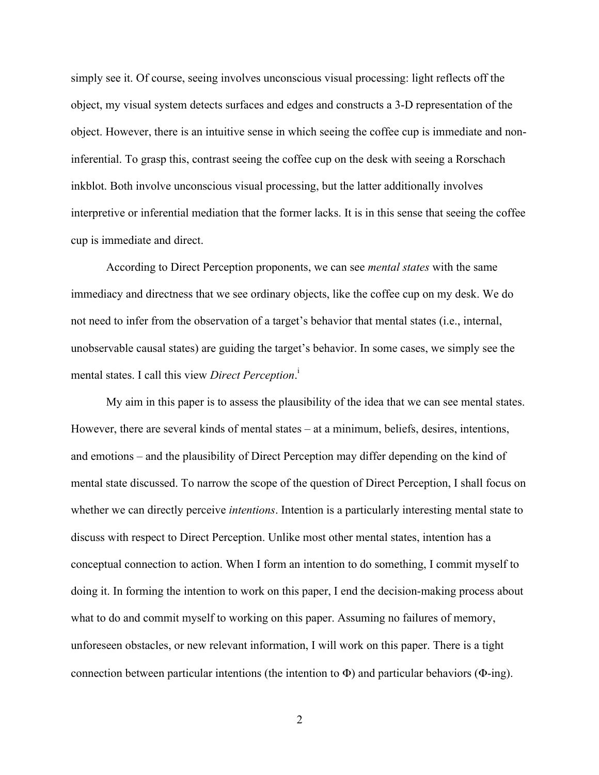simply see it. Of course, seeing involves unconscious visual processing: light reflects off the object, my visual system detects surfaces and edges and constructs a 3-D representation of the object. However, there is an intuitive sense in which seeing the coffee cup is immediate and noninferential. To grasp this, contrast seeing the coffee cup on the desk with seeing a Rorschach inkblot. Both involve unconscious visual processing, but the latter additionally involves interpretive or inferential mediation that the former lacks. It is in this sense that seeing the coffee cup is immediate and direct.

According to Direct Perception proponents, we can see *mental states* with the same immediacy and directness that we see ordinary objects, like the coffee cup on my desk. We do not need to infer from the observation of a target's behavior that mental states (i.e., internal, unobservable causal states) are guiding the target's behavior. In some cases, we simply see the mental states. I call this view *Direct Perception*. i

My aim in this paper is to assess the plausibility of the idea that we can see mental states. However, there are several kinds of mental states – at a minimum, beliefs, desires, intentions, and emotions – and the plausibility of Direct Perception may differ depending on the kind of mental state discussed. To narrow the scope of the question of Direct Perception, I shall focus on whether we can directly perceive *intentions*. Intention is a particularly interesting mental state to discuss with respect to Direct Perception. Unlike most other mental states, intention has a conceptual connection to action. When I form an intention to do something, I commit myself to doing it. In forming the intention to work on this paper, I end the decision-making process about what to do and commit myself to working on this paper. Assuming no failures of memory, unforeseen obstacles, or new relevant information, I will work on this paper. There is a tight connection between particular intentions (the intention to  $\Phi$ ) and particular behaviors ( $\Phi$ -ing).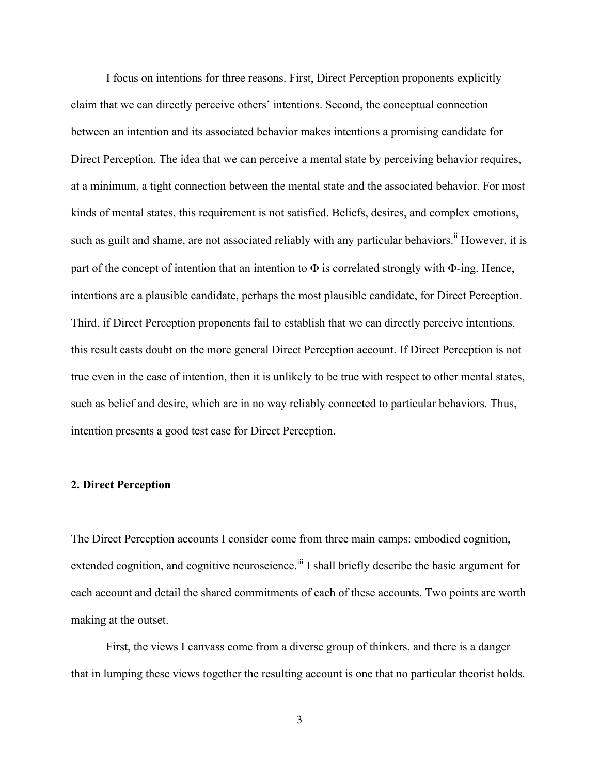I focus on intentions for three reasons. First, Direct Perception proponents explicitly claim that we can directly perceive others' intentions. Second, the conceptual connection between an intention and its associated behavior makes intentions a promising candidate for Direct Perception. The idea that we can perceive a mental state by perceiving behavior requires, at a minimum, a tight connection between the mental state and the associated behavior. For most kinds of mental states, this requirement is not satisfied. Beliefs, desires, and complex emotions, such as guilt and shame, are not associated reliably with any particular behaviors.<sup>ii</sup> However, it is part of the concept of intention that an intention to  $\Phi$  is correlated strongly with  $\Phi$ -ing. Hence, intentions are a plausible candidate, perhaps the most plausible candidate, for Direct Perception. Third, if Direct Perception proponents fail to establish that we can directly perceive intentions, this result casts doubt on the more general Direct Perception account. If Direct Perception is not true even in the case of intention, then it is unlikely to be true with respect to other mental states, such as belief and desire, which are in no way reliably connected to particular behaviors. Thus, intention presents a good test case for Direct Perception.

### **2. Direct Perception**

The Direct Perception accounts I consider come from three main camps: embodied cognition, extended cognition, and cognitive neuroscience.<sup>iii</sup> I shall briefly describe the basic argument for each account and detail the shared commitments of each of these accounts. Two points are worth making at the outset.

First, the views I canvass come from a diverse group of thinkers, and there is a danger that in lumping these views together the resulting account is one that no particular theorist holds.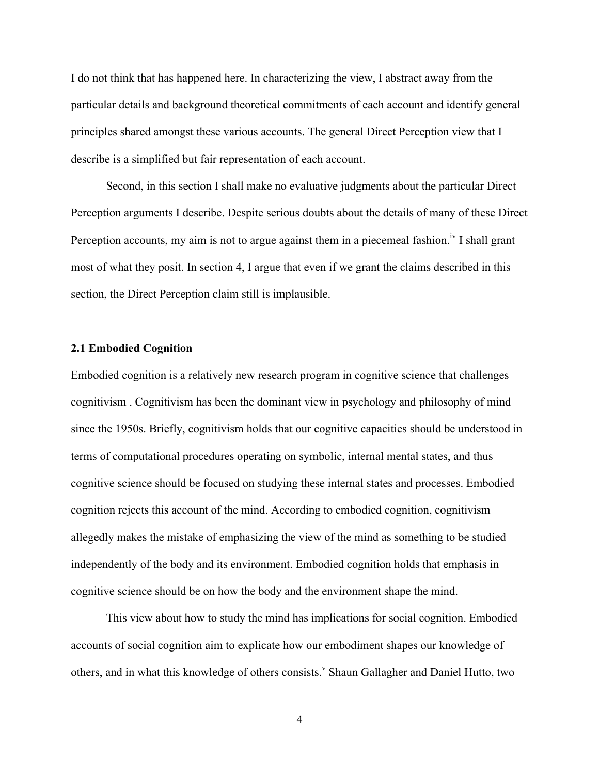I do not think that has happened here. In characterizing the view, I abstract away from the particular details and background theoretical commitments of each account and identify general principles shared amongst these various accounts. The general Direct Perception view that I describe is a simplified but fair representation of each account.

Second, in this section I shall make no evaluative judgments about the particular Direct Perception arguments I describe. Despite serious doubts about the details of many of these Direct Perception accounts, my aim is not to argue against them in a piecemeal fashion.<sup>iv</sup> I shall grant most of what they posit. In section 4, I argue that even if we grant the claims described in this section, the Direct Perception claim still is implausible.

## **2.1 Embodied Cognition**

Embodied cognition is a relatively new research program in cognitive science that challenges cognitivism . Cognitivism has been the dominant view in psychology and philosophy of mind since the 1950s. Briefly, cognitivism holds that our cognitive capacities should be understood in terms of computational procedures operating on symbolic, internal mental states, and thus cognitive science should be focused on studying these internal states and processes. Embodied cognition rejects this account of the mind. According to embodied cognition, cognitivism allegedly makes the mistake of emphasizing the view of the mind as something to be studied independently of the body and its environment. Embodied cognition holds that emphasis in cognitive science should be on how the body and the environment shape the mind.

This view about how to study the mind has implications for social cognition. Embodied accounts of social cognition aim to explicate how our embodiment shapes our knowledge of others, and in what this knowledge of others consists.<sup>V</sup> Shaun Gallagher and Daniel Hutto, two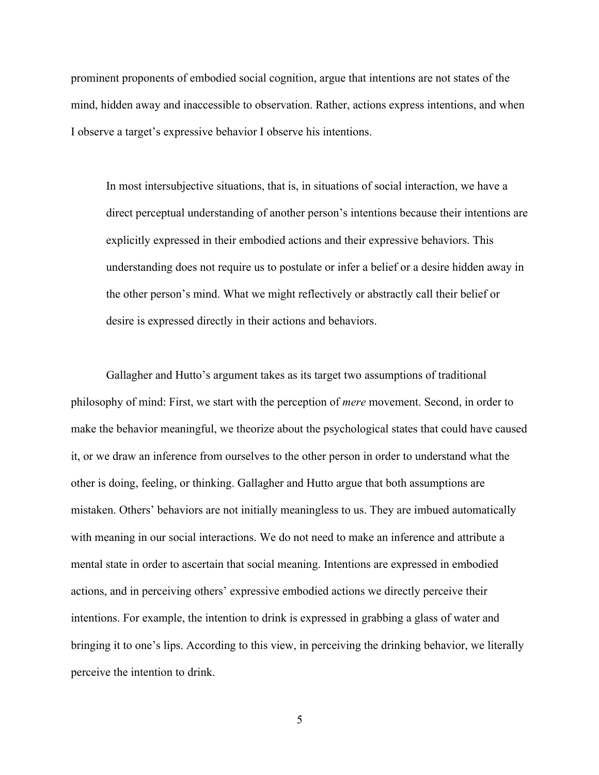prominent proponents of embodied social cognition, argue that intentions are not states of the mind, hidden away and inaccessible to observation. Rather, actions express intentions, and when I observe a target's expressive behavior I observe his intentions.

In most intersubjective situations, that is, in situations of social interaction, we have a direct perceptual understanding of another person's intentions because their intentions are explicitly expressed in their embodied actions and their expressive behaviors. This understanding does not require us to postulate or infer a belief or a desire hidden away in the other person's mind. What we might reflectively or abstractly call their belief or desire is expressed directly in their actions and behaviors.

Gallagher and Hutto's argument takes as its target two assumptions of traditional philosophy of mind: First, we start with the perception of *mere* movement. Second, in order to make the behavior meaningful, we theorize about the psychological states that could have caused it, or we draw an inference from ourselves to the other person in order to understand what the other is doing, feeling, or thinking. Gallagher and Hutto argue that both assumptions are mistaken. Others' behaviors are not initially meaningless to us. They are imbued automatically with meaning in our social interactions. We do not need to make an inference and attribute a mental state in order to ascertain that social meaning. Intentions are expressed in embodied actions, and in perceiving others' expressive embodied actions we directly perceive their intentions. For example, the intention to drink is expressed in grabbing a glass of water and bringing it to one's lips. According to this view, in perceiving the drinking behavior, we literally perceive the intention to drink.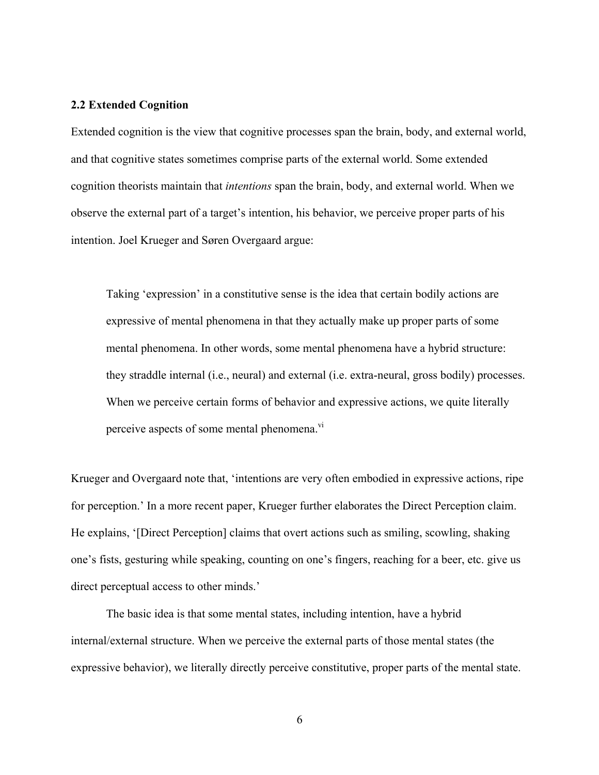## **2.2 Extended Cognition**

Extended cognition is the view that cognitive processes span the brain, body, and external world, and that cognitive states sometimes comprise parts of the external world. Some extended cognition theorists maintain that *intentions* span the brain, body, and external world. When we observe the external part of a target's intention, his behavior, we perceive proper parts of his intention. Joel Krueger and Søren Overgaard argue:

Taking 'expression' in a constitutive sense is the idea that certain bodily actions are expressive of mental phenomena in that they actually make up proper parts of some mental phenomena. In other words, some mental phenomena have a hybrid structure: they straddle internal (i.e., neural) and external (i.e. extra-neural, gross bodily) processes. When we perceive certain forms of behavior and expressive actions, we quite literally perceive aspects of some mental phenomena.<sup>vi</sup>

Krueger and Overgaard note that, 'intentions are very often embodied in expressive actions, ripe for perception.' In a more recent paper, Krueger further elaborates the Direct Perception claim. He explains, '[Direct Perception] claims that overt actions such as smiling, scowling, shaking one's fists, gesturing while speaking, counting on one's fingers, reaching for a beer, etc. give us direct perceptual access to other minds.'

The basic idea is that some mental states, including intention, have a hybrid internal/external structure. When we perceive the external parts of those mental states (the expressive behavior), we literally directly perceive constitutive, proper parts of the mental state.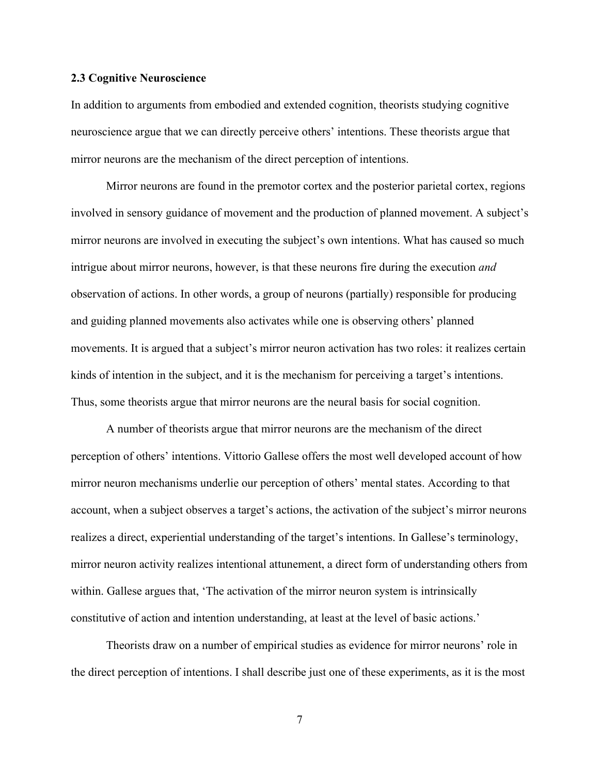#### **2.3 Cognitive Neuroscience**

In addition to arguments from embodied and extended cognition, theorists studying cognitive neuroscience argue that we can directly perceive others' intentions. These theorists argue that mirror neurons are the mechanism of the direct perception of intentions.

Mirror neurons are found in the premotor cortex and the posterior parietal cortex, regions involved in sensory guidance of movement and the production of planned movement. A subject's mirror neurons are involved in executing the subject's own intentions. What has caused so much intrigue about mirror neurons, however, is that these neurons fire during the execution *and* observation of actions. In other words, a group of neurons (partially) responsible for producing and guiding planned movements also activates while one is observing others' planned movements. It is argued that a subject's mirror neuron activation has two roles: it realizes certain kinds of intention in the subject, and it is the mechanism for perceiving a target's intentions. Thus, some theorists argue that mirror neurons are the neural basis for social cognition.

A number of theorists argue that mirror neurons are the mechanism of the direct perception of others' intentions. Vittorio Gallese offers the most well developed account of how mirror neuron mechanisms underlie our perception of others' mental states. According to that account, when a subject observes a target's actions, the activation of the subject's mirror neurons realizes a direct, experiential understanding of the target's intentions. In Gallese's terminology, mirror neuron activity realizes intentional attunement, a direct form of understanding others from within. Gallese argues that, 'The activation of the mirror neuron system is intrinsically constitutive of action and intention understanding, at least at the level of basic actions.'

Theorists draw on a number of empirical studies as evidence for mirror neurons' role in the direct perception of intentions. I shall describe just one of these experiments, as it is the most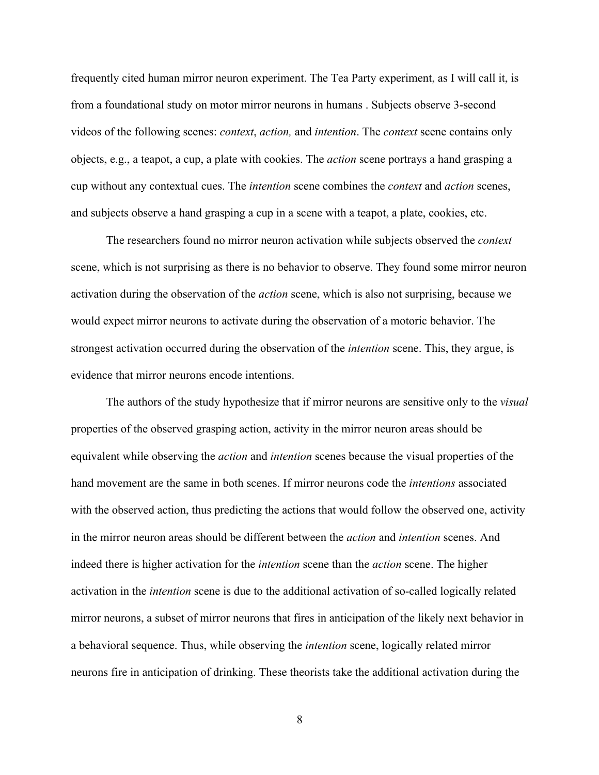frequently cited human mirror neuron experiment. The Tea Party experiment, as I will call it, is from a foundational study on motor mirror neurons in humans . Subjects observe 3-second videos of the following scenes: *context*, *action,* and *intention*. The *context* scene contains only objects, e.g., a teapot, a cup, a plate with cookies. The *action* scene portrays a hand grasping a cup without any contextual cues. The *intention* scene combines the *context* and *action* scenes, and subjects observe a hand grasping a cup in a scene with a teapot, a plate, cookies, etc.

The researchers found no mirror neuron activation while subjects observed the *context* scene, which is not surprising as there is no behavior to observe. They found some mirror neuron activation during the observation of the *action* scene, which is also not surprising, because we would expect mirror neurons to activate during the observation of a motoric behavior. The strongest activation occurred during the observation of the *intention* scene. This, they argue, is evidence that mirror neurons encode intentions.

The authors of the study hypothesize that if mirror neurons are sensitive only to the *visual* properties of the observed grasping action, activity in the mirror neuron areas should be equivalent while observing the *action* and *intention* scenes because the visual properties of the hand movement are the same in both scenes. If mirror neurons code the *intentions* associated with the observed action, thus predicting the actions that would follow the observed one, activity in the mirror neuron areas should be different between the *action* and *intention* scenes. And indeed there is higher activation for the *intention* scene than the *action* scene. The higher activation in the *intention* scene is due to the additional activation of so-called logically related mirror neurons, a subset of mirror neurons that fires in anticipation of the likely next behavior in a behavioral sequence. Thus, while observing the *intention* scene, logically related mirror neurons fire in anticipation of drinking. These theorists take the additional activation during the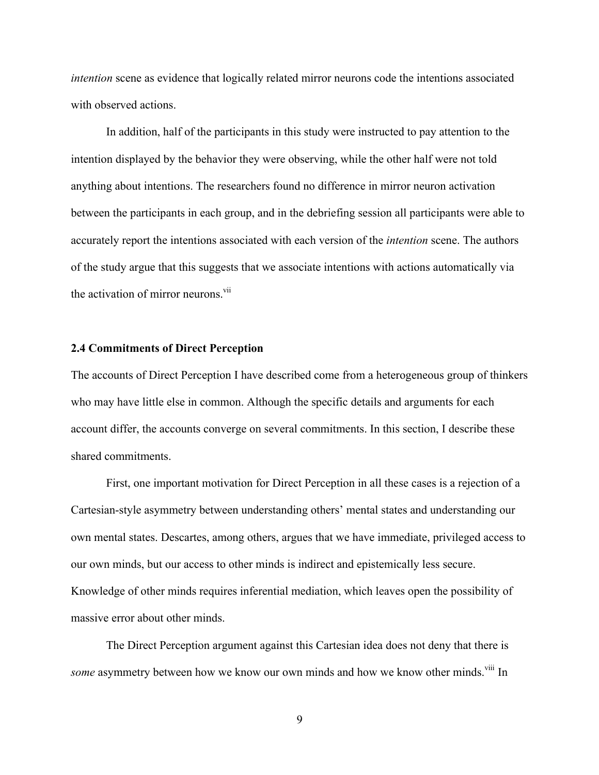*intention* scene as evidence that logically related mirror neurons code the intentions associated with observed actions.

In addition, half of the participants in this study were instructed to pay attention to the intention displayed by the behavior they were observing, while the other half were not told anything about intentions. The researchers found no difference in mirror neuron activation between the participants in each group, and in the debriefing session all participants were able to accurately report the intentions associated with each version of the *intention* scene. The authors of the study argue that this suggests that we associate intentions with actions automatically via the activation of mirror neurons.<sup>vii</sup>

#### **2.4 Commitments of Direct Perception**

The accounts of Direct Perception I have described come from a heterogeneous group of thinkers who may have little else in common. Although the specific details and arguments for each account differ, the accounts converge on several commitments. In this section, I describe these shared commitments.

First, one important motivation for Direct Perception in all these cases is a rejection of a Cartesian-style asymmetry between understanding others' mental states and understanding our own mental states. Descartes, among others, argues that we have immediate, privileged access to our own minds, but our access to other minds is indirect and epistemically less secure. Knowledge of other minds requires inferential mediation, which leaves open the possibility of massive error about other minds.

The Direct Perception argument against this Cartesian idea does not deny that there is some asymmetry between how we know our own minds and how we know other minds.<sup>viii</sup> In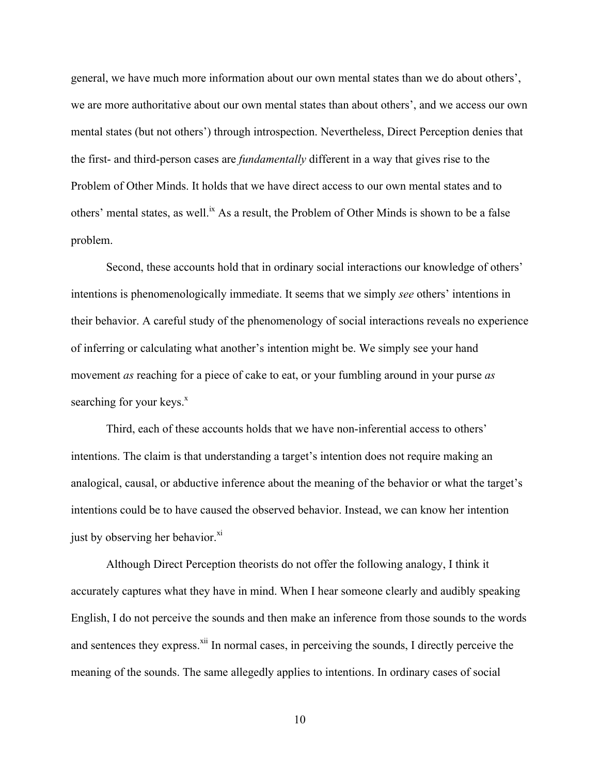general, we have much more information about our own mental states than we do about others', we are more authoritative about our own mental states than about others', and we access our own mental states (but not others') through introspection. Nevertheless, Direct Perception denies that the first- and third-person cases are *fundamentally* different in a way that gives rise to the Problem of Other Minds. It holds that we have direct access to our own mental states and to others' mental states, as well.<sup>ix</sup> As a result, the Problem of Other Minds is shown to be a false problem.

Second, these accounts hold that in ordinary social interactions our knowledge of others' intentions is phenomenologically immediate. It seems that we simply *see* others' intentions in their behavior. A careful study of the phenomenology of social interactions reveals no experience of inferring or calculating what another's intention might be. We simply see your hand movement *as* reaching for a piece of cake to eat, or your fumbling around in your purse *as*  searching for your keys. $x^x$ 

Third, each of these accounts holds that we have non-inferential access to others' intentions. The claim is that understanding a target's intention does not require making an analogical, causal, or abductive inference about the meaning of the behavior or what the target's intentions could be to have caused the observed behavior. Instead, we can know her intention just by observing her behavior. $\frac{x^2}{x}$ 

Although Direct Perception theorists do not offer the following analogy, I think it accurately captures what they have in mind. When I hear someone clearly and audibly speaking English, I do not perceive the sounds and then make an inference from those sounds to the words and sentences they express.<sup>xii</sup> In normal cases, in perceiving the sounds, I directly perceive the meaning of the sounds. The same allegedly applies to intentions. In ordinary cases of social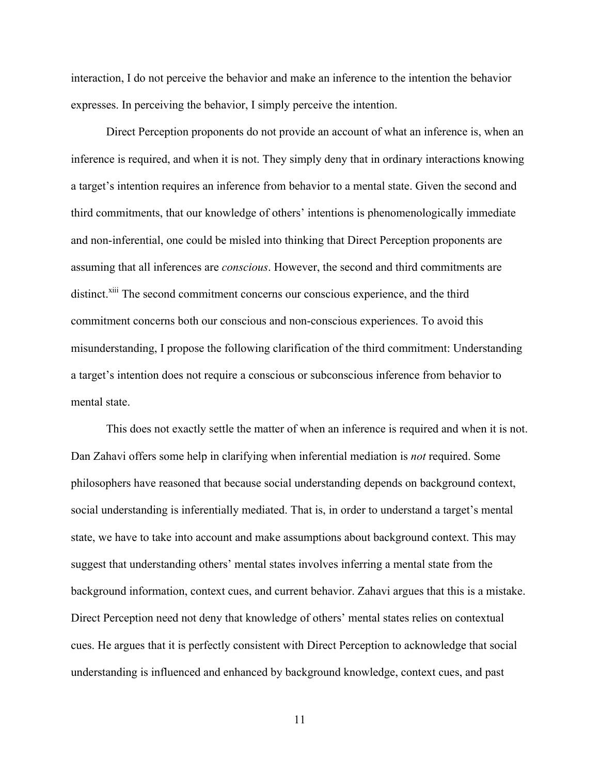interaction, I do not perceive the behavior and make an inference to the intention the behavior expresses. In perceiving the behavior, I simply perceive the intention.

Direct Perception proponents do not provide an account of what an inference is, when an inference is required, and when it is not. They simply deny that in ordinary interactions knowing a target's intention requires an inference from behavior to a mental state. Given the second and third commitments, that our knowledge of others' intentions is phenomenologically immediate and non-inferential, one could be misled into thinking that Direct Perception proponents are assuming that all inferences are *conscious*. However, the second and third commitments are distinct.<sup>xiii</sup> The second commitment concerns our conscious experience, and the third commitment concerns both our conscious and non-conscious experiences. To avoid this misunderstanding, I propose the following clarification of the third commitment: Understanding a target's intention does not require a conscious or subconscious inference from behavior to mental state.

This does not exactly settle the matter of when an inference is required and when it is not. Dan Zahavi offers some help in clarifying when inferential mediation is *not* required. Some philosophers have reasoned that because social understanding depends on background context, social understanding is inferentially mediated. That is, in order to understand a target's mental state, we have to take into account and make assumptions about background context. This may suggest that understanding others' mental states involves inferring a mental state from the background information, context cues, and current behavior. Zahavi argues that this is a mistake. Direct Perception need not deny that knowledge of others' mental states relies on contextual cues. He argues that it is perfectly consistent with Direct Perception to acknowledge that social understanding is influenced and enhanced by background knowledge, context cues, and past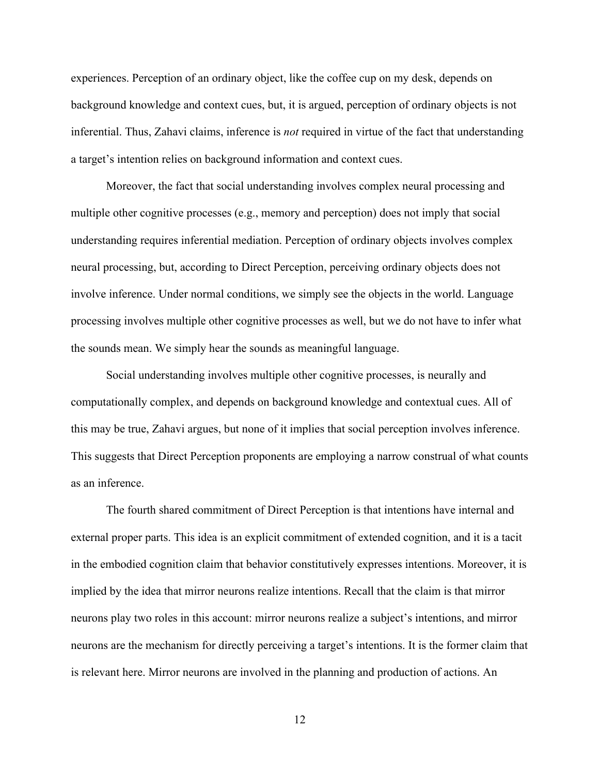experiences. Perception of an ordinary object, like the coffee cup on my desk, depends on background knowledge and context cues, but, it is argued, perception of ordinary objects is not inferential. Thus, Zahavi claims, inference is *not* required in virtue of the fact that understanding a target's intention relies on background information and context cues.

Moreover, the fact that social understanding involves complex neural processing and multiple other cognitive processes (e.g., memory and perception) does not imply that social understanding requires inferential mediation. Perception of ordinary objects involves complex neural processing, but, according to Direct Perception, perceiving ordinary objects does not involve inference. Under normal conditions, we simply see the objects in the world. Language processing involves multiple other cognitive processes as well, but we do not have to infer what the sounds mean. We simply hear the sounds as meaningful language.

Social understanding involves multiple other cognitive processes, is neurally and computationally complex, and depends on background knowledge and contextual cues. All of this may be true, Zahavi argues, but none of it implies that social perception involves inference. This suggests that Direct Perception proponents are employing a narrow construal of what counts as an inference.

The fourth shared commitment of Direct Perception is that intentions have internal and external proper parts. This idea is an explicit commitment of extended cognition, and it is a tacit in the embodied cognition claim that behavior constitutively expresses intentions. Moreover, it is implied by the idea that mirror neurons realize intentions. Recall that the claim is that mirror neurons play two roles in this account: mirror neurons realize a subject's intentions, and mirror neurons are the mechanism for directly perceiving a target's intentions. It is the former claim that is relevant here. Mirror neurons are involved in the planning and production of actions. An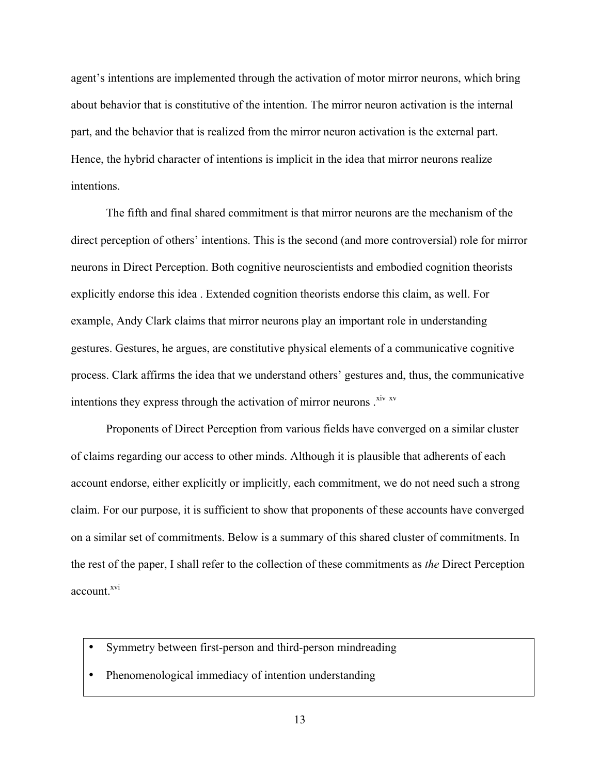agent's intentions are implemented through the activation of motor mirror neurons, which bring about behavior that is constitutive of the intention. The mirror neuron activation is the internal part, and the behavior that is realized from the mirror neuron activation is the external part. Hence, the hybrid character of intentions is implicit in the idea that mirror neurons realize intentions.

The fifth and final shared commitment is that mirror neurons are the mechanism of the direct perception of others' intentions. This is the second (and more controversial) role for mirror neurons in Direct Perception. Both cognitive neuroscientists and embodied cognition theorists explicitly endorse this idea . Extended cognition theorists endorse this claim, as well. For example, Andy Clark claims that mirror neurons play an important role in understanding gestures. Gestures, he argues, are constitutive physical elements of a communicative cognitive process. Clark affirms the idea that we understand others' gestures and, thus, the communicative intentions they express through the activation of mirror neurons. Xiv xv

Proponents of Direct Perception from various fields have converged on a similar cluster of claims regarding our access to other minds. Although it is plausible that adherents of each account endorse, either explicitly or implicitly, each commitment, we do not need such a strong claim. For our purpose, it is sufficient to show that proponents of these accounts have converged on a similar set of commitments. Below is a summary of this shared cluster of commitments. In the rest of the paper, I shall refer to the collection of these commitments as *the* Direct Perception account.<sup>xvi</sup>

- Symmetry between first-person and third-person mindreading
- Phenomenological immediacy of intention understanding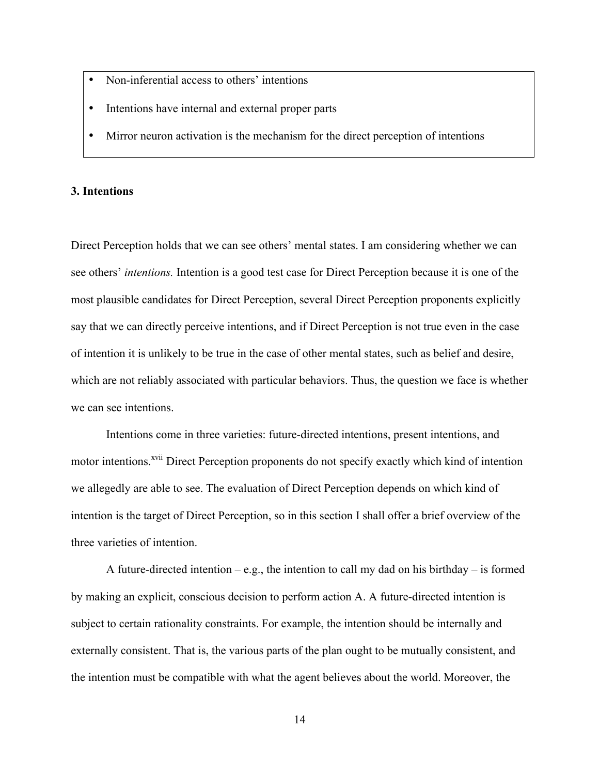- Non-inferential access to others' intentions
- Intentions have internal and external proper parts
- Mirror neuron activation is the mechanism for the direct perception of intentions

## **3. Intentions**

Direct Perception holds that we can see others' mental states. I am considering whether we can see others' *intentions.* Intention is a good test case for Direct Perception because it is one of the most plausible candidates for Direct Perception, several Direct Perception proponents explicitly say that we can directly perceive intentions, and if Direct Perception is not true even in the case of intention it is unlikely to be true in the case of other mental states, such as belief and desire, which are not reliably associated with particular behaviors. Thus, the question we face is whether we can see intentions.

Intentions come in three varieties: future-directed intentions, present intentions, and motor intentions.<sup>xvii</sup> Direct Perception proponents do not specify exactly which kind of intention we allegedly are able to see. The evaluation of Direct Perception depends on which kind of intention is the target of Direct Perception, so in this section I shall offer a brief overview of the three varieties of intention.

A future-directed intention – e.g., the intention to call my dad on his birthday – is formed by making an explicit, conscious decision to perform action A. A future-directed intention is subject to certain rationality constraints. For example, the intention should be internally and externally consistent. That is, the various parts of the plan ought to be mutually consistent, and the intention must be compatible with what the agent believes about the world. Moreover, the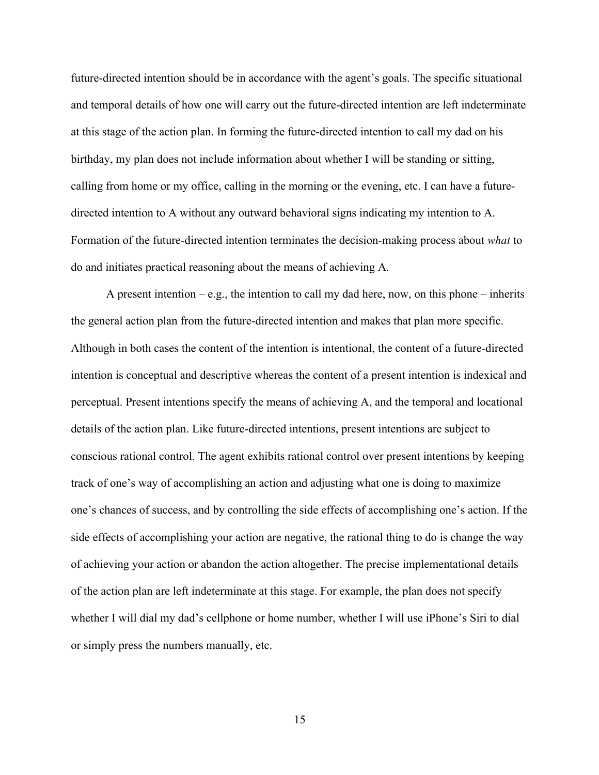future-directed intention should be in accordance with the agent's goals. The specific situational and temporal details of how one will carry out the future-directed intention are left indeterminate at this stage of the action plan. In forming the future-directed intention to call my dad on his birthday, my plan does not include information about whether I will be standing or sitting, calling from home or my office, calling in the morning or the evening, etc. I can have a futuredirected intention to A without any outward behavioral signs indicating my intention to A. Formation of the future-directed intention terminates the decision-making process about *what* to do and initiates practical reasoning about the means of achieving A.

A present intention  $-e.g.,$  the intention to call my dad here, now, on this phone – inherits the general action plan from the future-directed intention and makes that plan more specific. Although in both cases the content of the intention is intentional, the content of a future-directed intention is conceptual and descriptive whereas the content of a present intention is indexical and perceptual. Present intentions specify the means of achieving A, and the temporal and locational details of the action plan. Like future-directed intentions, present intentions are subject to conscious rational control. The agent exhibits rational control over present intentions by keeping track of one's way of accomplishing an action and adjusting what one is doing to maximize one's chances of success, and by controlling the side effects of accomplishing one's action. If the side effects of accomplishing your action are negative, the rational thing to do is change the way of achieving your action or abandon the action altogether. The precise implementational details of the action plan are left indeterminate at this stage. For example, the plan does not specify whether I will dial my dad's cellphone or home number, whether I will use iPhone's Siri to dial or simply press the numbers manually, etc.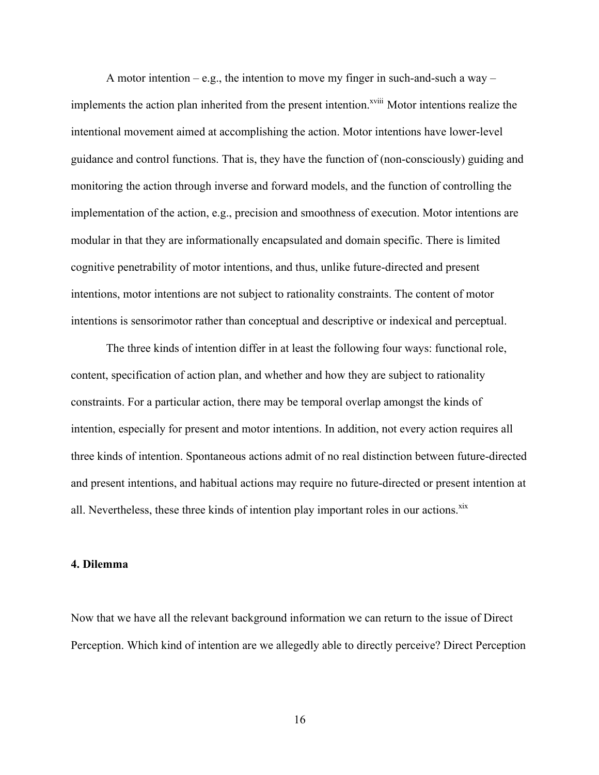A motor intention – e.g., the intention to move my finger in such-and-such a way – implements the action plan inherited from the present intention.<sup>xviii</sup> Motor intentions realize the intentional movement aimed at accomplishing the action. Motor intentions have lower-level guidance and control functions. That is, they have the function of (non-consciously) guiding and monitoring the action through inverse and forward models, and the function of controlling the implementation of the action, e.g., precision and smoothness of execution. Motor intentions are modular in that they are informationally encapsulated and domain specific. There is limited cognitive penetrability of motor intentions, and thus, unlike future-directed and present intentions, motor intentions are not subject to rationality constraints. The content of motor intentions is sensorimotor rather than conceptual and descriptive or indexical and perceptual.

The three kinds of intention differ in at least the following four ways: functional role, content, specification of action plan, and whether and how they are subject to rationality constraints. For a particular action, there may be temporal overlap amongst the kinds of intention, especially for present and motor intentions. In addition, not every action requires all three kinds of intention. Spontaneous actions admit of no real distinction between future-directed and present intentions, and habitual actions may require no future-directed or present intention at all. Nevertheless, these three kinds of intention play important roles in our actions.<sup>xix</sup>

#### **4. Dilemma**

Now that we have all the relevant background information we can return to the issue of Direct Perception. Which kind of intention are we allegedly able to directly perceive? Direct Perception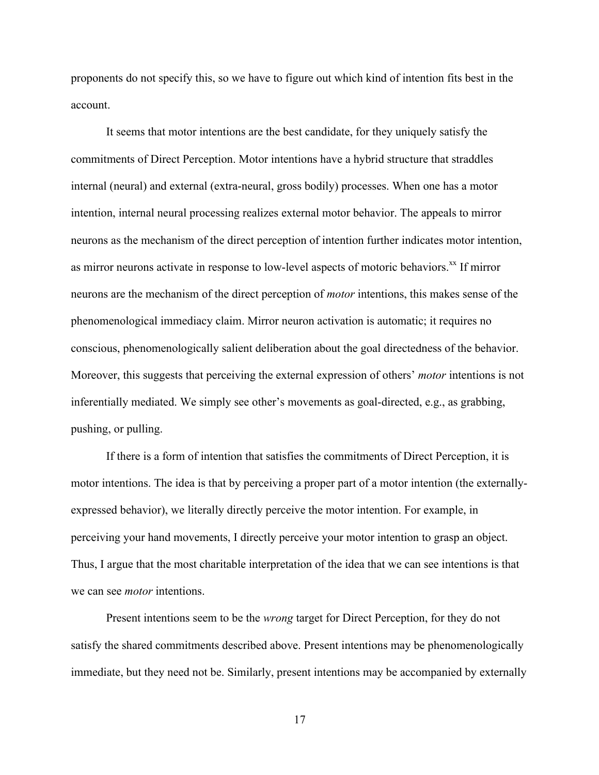proponents do not specify this, so we have to figure out which kind of intention fits best in the account.

It seems that motor intentions are the best candidate, for they uniquely satisfy the commitments of Direct Perception. Motor intentions have a hybrid structure that straddles internal (neural) and external (extra-neural, gross bodily) processes. When one has a motor intention, internal neural processing realizes external motor behavior. The appeals to mirror neurons as the mechanism of the direct perception of intention further indicates motor intention, as mirror neurons activate in response to low-level aspects of motoric behaviors.<sup>xx</sup> If mirror neurons are the mechanism of the direct perception of *motor* intentions, this makes sense of the phenomenological immediacy claim. Mirror neuron activation is automatic; it requires no conscious, phenomenologically salient deliberation about the goal directedness of the behavior. Moreover, this suggests that perceiving the external expression of others' *motor* intentions is not inferentially mediated. We simply see other's movements as goal-directed, e.g., as grabbing, pushing, or pulling.

If there is a form of intention that satisfies the commitments of Direct Perception, it is motor intentions. The idea is that by perceiving a proper part of a motor intention (the externallyexpressed behavior), we literally directly perceive the motor intention. For example, in perceiving your hand movements, I directly perceive your motor intention to grasp an object. Thus, I argue that the most charitable interpretation of the idea that we can see intentions is that we can see *motor* intentions.

Present intentions seem to be the *wrong* target for Direct Perception, for they do not satisfy the shared commitments described above. Present intentions may be phenomenologically immediate, but they need not be. Similarly, present intentions may be accompanied by externally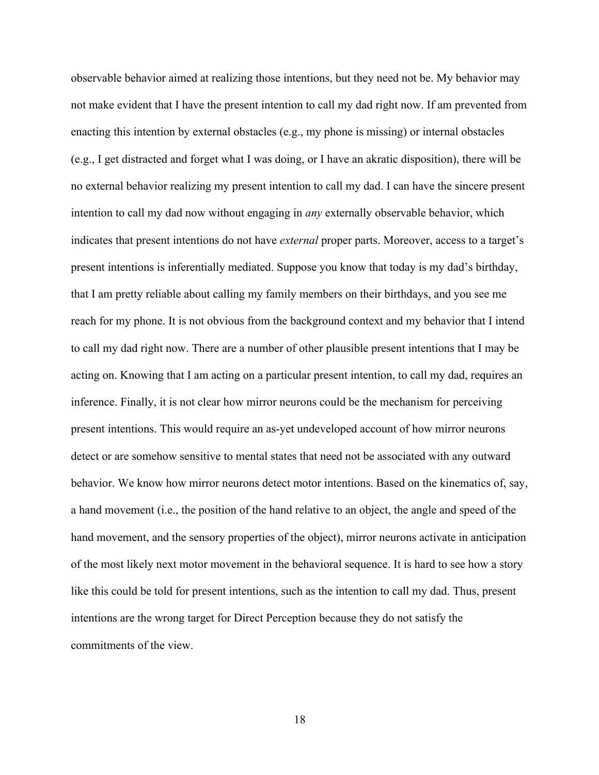observable behavior aimed at realizing those intentions, but they need not be. My behavior may not make evident that I have the present intention to call my dad right now. If am prevented from enacting this intention by external obstacles (e.g., my phone is missing) or internal obstacles (e.g., I get distracted and forget what I was doing, or I have an akratic disposition), there will be no external behavior realizing my present intention to call my dad. I can have the sincere present intention to call my dad now without engaging in *any* externally observable behavior, which indicates that present intentions do not have *external* proper parts. Moreover, access to a target's present intentions is inferentially mediated. Suppose you know that today is my dad's birthday, that I am pretty reliable about calling my family members on their birthdays, and you see me reach for my phone. It is not obvious from the background context and my behavior that I intend to call my dad right now. There are a number of other plausible present intentions that I may be acting on. Knowing that I am acting on a particular present intention, to call my dad, requires an inference. Finally, it is not clear how mirror neurons could be the mechanism for perceiving present intentions. This would require an as-yet undeveloped account of how mirror neurons detect or are somehow sensitive to mental states that need not be associated with any outward behavior. We know how mirror neurons detect motor intentions. Based on the kinematics of, say, a hand movement (i.e., the position of the hand relative to an object, the angle and speed of the hand movement, and the sensory properties of the object), mirror neurons activate in anticipation of the most likely next motor movement in the behavioral sequence. It is hard to see how a story like this could be told for present intentions, such as the intention to call my dad. Thus, present intentions are the wrong target for Direct Perception because they do not satisfy the commitments of the view.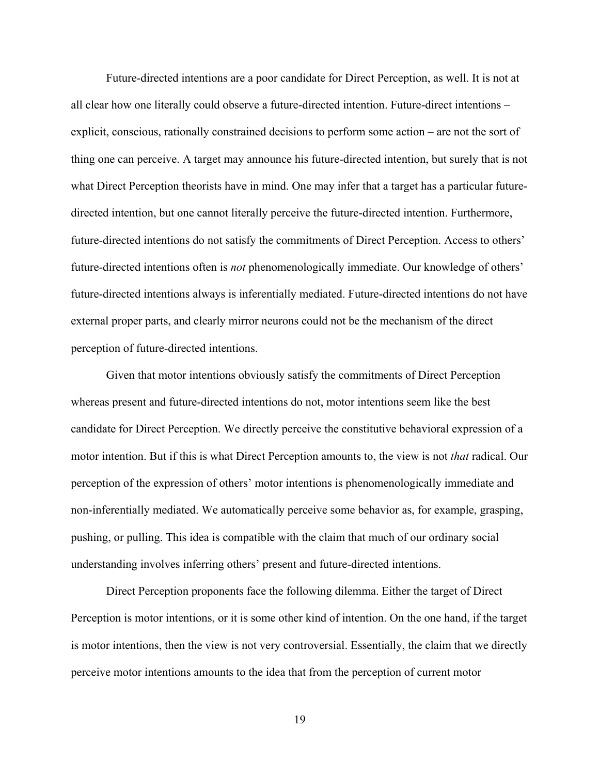Future-directed intentions are a poor candidate for Direct Perception, as well. It is not at all clear how one literally could observe a future-directed intention. Future-direct intentions – explicit, conscious, rationally constrained decisions to perform some action – are not the sort of thing one can perceive. A target may announce his future-directed intention, but surely that is not what Direct Perception theorists have in mind. One may infer that a target has a particular futuredirected intention, but one cannot literally perceive the future-directed intention. Furthermore, future-directed intentions do not satisfy the commitments of Direct Perception. Access to others' future-directed intentions often is *not* phenomenologically immediate. Our knowledge of others' future-directed intentions always is inferentially mediated. Future-directed intentions do not have external proper parts, and clearly mirror neurons could not be the mechanism of the direct perception of future-directed intentions.

Given that motor intentions obviously satisfy the commitments of Direct Perception whereas present and future-directed intentions do not, motor intentions seem like the best candidate for Direct Perception. We directly perceive the constitutive behavioral expression of a motor intention. But if this is what Direct Perception amounts to, the view is not *that* radical. Our perception of the expression of others' motor intentions is phenomenologically immediate and non-inferentially mediated. We automatically perceive some behavior as, for example, grasping, pushing, or pulling. This idea is compatible with the claim that much of our ordinary social understanding involves inferring others' present and future-directed intentions.

Direct Perception proponents face the following dilemma. Either the target of Direct Perception is motor intentions, or it is some other kind of intention. On the one hand, if the target is motor intentions, then the view is not very controversial. Essentially, the claim that we directly perceive motor intentions amounts to the idea that from the perception of current motor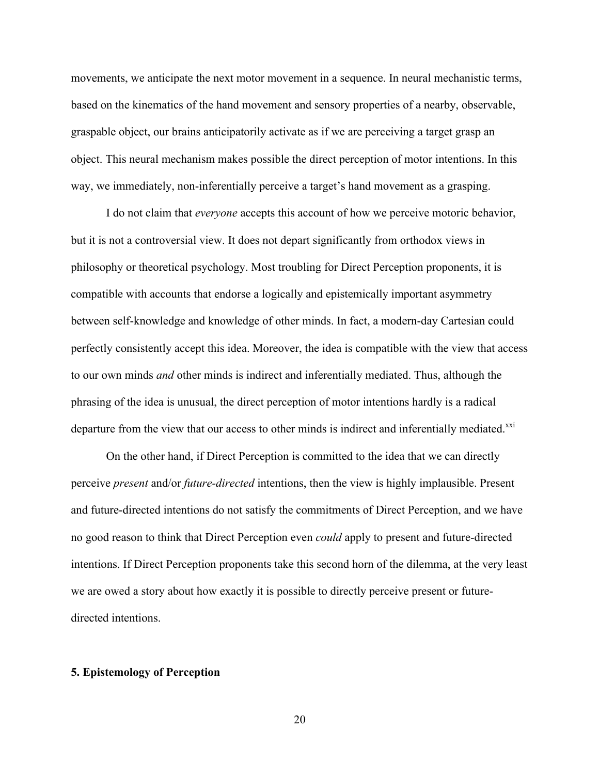movements, we anticipate the next motor movement in a sequence. In neural mechanistic terms, based on the kinematics of the hand movement and sensory properties of a nearby, observable, graspable object, our brains anticipatorily activate as if we are perceiving a target grasp an object. This neural mechanism makes possible the direct perception of motor intentions. In this way, we immediately, non-inferentially perceive a target's hand movement as a grasping.

I do not claim that *everyone* accepts this account of how we perceive motoric behavior, but it is not a controversial view. It does not depart significantly from orthodox views in philosophy or theoretical psychology. Most troubling for Direct Perception proponents, it is compatible with accounts that endorse a logically and epistemically important asymmetry between self-knowledge and knowledge of other minds. In fact, a modern-day Cartesian could perfectly consistently accept this idea. Moreover, the idea is compatible with the view that access to our own minds *and* other minds is indirect and inferentially mediated. Thus, although the phrasing of the idea is unusual, the direct perception of motor intentions hardly is a radical departure from the view that our access to other minds is indirect and inferentially mediated.<sup>xxi</sup>

On the other hand, if Direct Perception is committed to the idea that we can directly perceive *present* and/or *future-directed* intentions, then the view is highly implausible. Present and future-directed intentions do not satisfy the commitments of Direct Perception, and we have no good reason to think that Direct Perception even *could* apply to present and future-directed intentions. If Direct Perception proponents take this second horn of the dilemma, at the very least we are owed a story about how exactly it is possible to directly perceive present or futuredirected intentions.

## **5. Epistemology of Perception**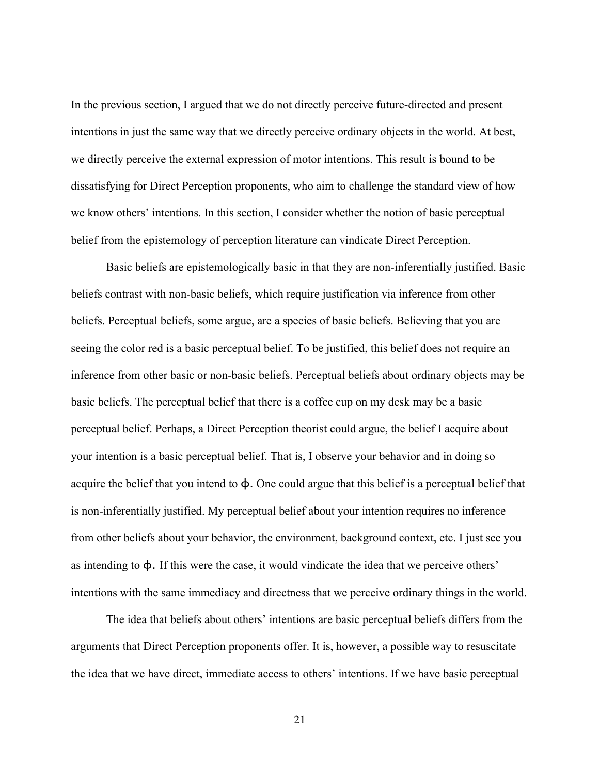In the previous section, I argued that we do not directly perceive future-directed and present intentions in just the same way that we directly perceive ordinary objects in the world. At best, we directly perceive the external expression of motor intentions. This result is bound to be dissatisfying for Direct Perception proponents, who aim to challenge the standard view of how we know others' intentions. In this section, I consider whether the notion of basic perceptual belief from the epistemology of perception literature can vindicate Direct Perception.

Basic beliefs are epistemologically basic in that they are non-inferentially justified. Basic beliefs contrast with non-basic beliefs, which require justification via inference from other beliefs. Perceptual beliefs, some argue, are a species of basic beliefs. Believing that you are seeing the color red is a basic perceptual belief. To be justified, this belief does not require an inference from other basic or non-basic beliefs. Perceptual beliefs about ordinary objects may be basic beliefs. The perceptual belief that there is a coffee cup on my desk may be a basic perceptual belief. Perhaps, a Direct Perception theorist could argue, the belief I acquire about your intention is a basic perceptual belief. That is, I observe your behavior and in doing so acquire the belief that you intend to  $\phi$ . One could argue that this belief is a perceptual belief that is non-inferentially justified. My perceptual belief about your intention requires no inference from other beliefs about your behavior, the environment, background context, etc. I just see you as intending to ϕ. If this were the case, it would vindicate the idea that we perceive others' intentions with the same immediacy and directness that we perceive ordinary things in the world.

The idea that beliefs about others' intentions are basic perceptual beliefs differs from the arguments that Direct Perception proponents offer. It is, however, a possible way to resuscitate the idea that we have direct, immediate access to others' intentions. If we have basic perceptual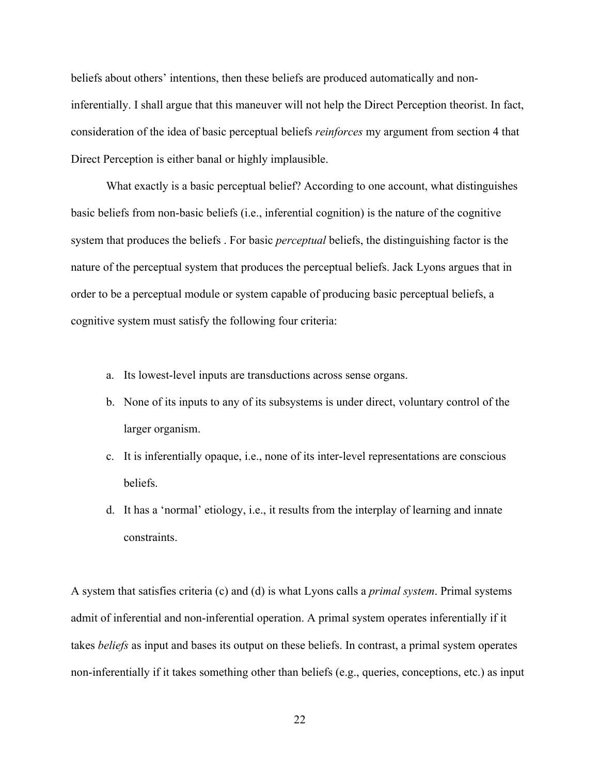beliefs about others' intentions, then these beliefs are produced automatically and noninferentially. I shall argue that this maneuver will not help the Direct Perception theorist. In fact, consideration of the idea of basic perceptual beliefs *reinforces* my argument from section 4 that Direct Perception is either banal or highly implausible.

What exactly is a basic perceptual belief? According to one account, what distinguishes basic beliefs from non-basic beliefs (i.e., inferential cognition) is the nature of the cognitive system that produces the beliefs . For basic *perceptual* beliefs, the distinguishing factor is the nature of the perceptual system that produces the perceptual beliefs. Jack Lyons argues that in order to be a perceptual module or system capable of producing basic perceptual beliefs, a cognitive system must satisfy the following four criteria:

- a. Its lowest-level inputs are transductions across sense organs.
- b. None of its inputs to any of its subsystems is under direct, voluntary control of the larger organism.
- c. It is inferentially opaque, i.e., none of its inter-level representations are conscious beliefs.
- d. It has a 'normal' etiology, i.e., it results from the interplay of learning and innate constraints.

A system that satisfies criteria (c) and (d) is what Lyons calls a *primal system*. Primal systems admit of inferential and non-inferential operation. A primal system operates inferentially if it takes *beliefs* as input and bases its output on these beliefs. In contrast, a primal system operates non-inferentially if it takes something other than beliefs (e.g., queries, conceptions, etc.) as input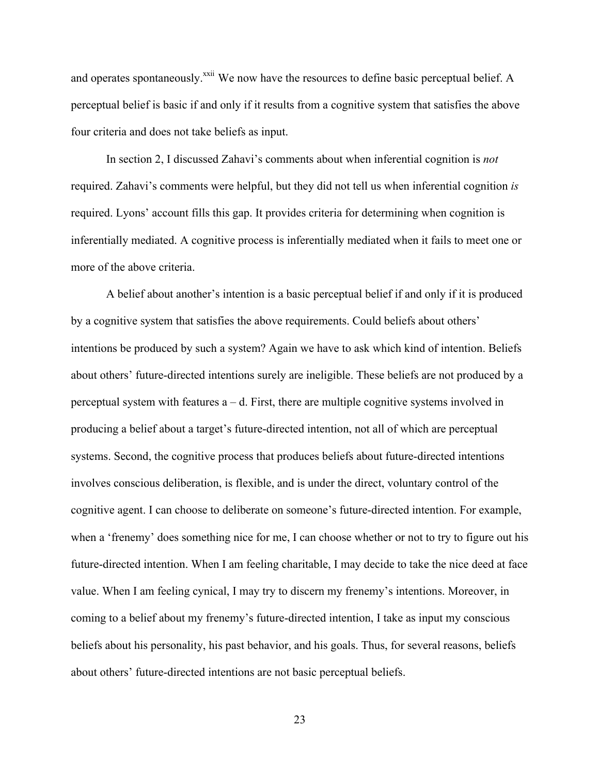and operates spontaneously.<sup>xxii</sup> We now have the resources to define basic perceptual belief. A perceptual belief is basic if and only if it results from a cognitive system that satisfies the above four criteria and does not take beliefs as input.

In section 2, I discussed Zahavi's comments about when inferential cognition is *not*  required. Zahavi's comments were helpful, but they did not tell us when inferential cognition *is*  required. Lyons' account fills this gap. It provides criteria for determining when cognition is inferentially mediated. A cognitive process is inferentially mediated when it fails to meet one or more of the above criteria.

A belief about another's intention is a basic perceptual belief if and only if it is produced by a cognitive system that satisfies the above requirements. Could beliefs about others' intentions be produced by such a system? Again we have to ask which kind of intention. Beliefs about others' future-directed intentions surely are ineligible. These beliefs are not produced by a perceptual system with features  $a - d$ . First, there are multiple cognitive systems involved in producing a belief about a target's future-directed intention, not all of which are perceptual systems. Second, the cognitive process that produces beliefs about future-directed intentions involves conscious deliberation, is flexible, and is under the direct, voluntary control of the cognitive agent. I can choose to deliberate on someone's future-directed intention. For example, when a 'frenemy' does something nice for me, I can choose whether or not to try to figure out his future-directed intention. When I am feeling charitable, I may decide to take the nice deed at face value. When I am feeling cynical, I may try to discern my frenemy's intentions. Moreover, in coming to a belief about my frenemy's future-directed intention, I take as input my conscious beliefs about his personality, his past behavior, and his goals. Thus, for several reasons, beliefs about others' future-directed intentions are not basic perceptual beliefs.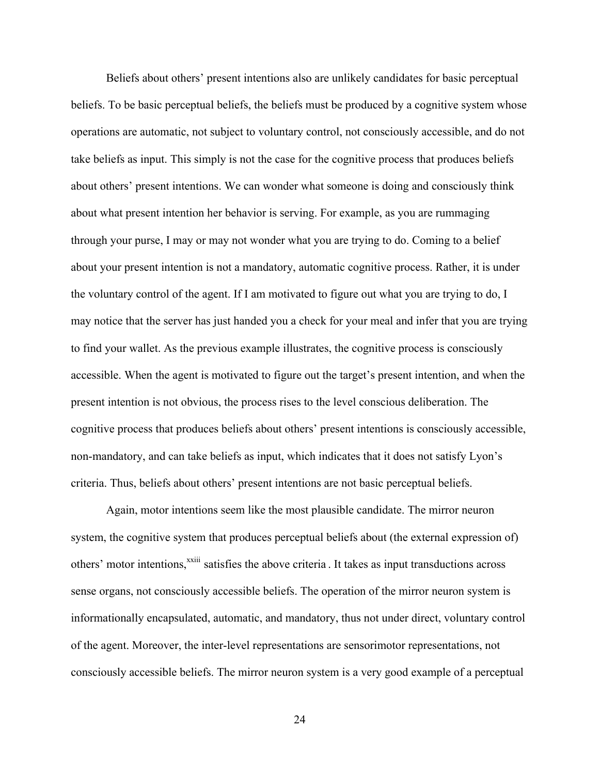Beliefs about others' present intentions also are unlikely candidates for basic perceptual beliefs. To be basic perceptual beliefs, the beliefs must be produced by a cognitive system whose operations are automatic, not subject to voluntary control, not consciously accessible, and do not take beliefs as input. This simply is not the case for the cognitive process that produces beliefs about others' present intentions. We can wonder what someone is doing and consciously think about what present intention her behavior is serving. For example, as you are rummaging through your purse, I may or may not wonder what you are trying to do. Coming to a belief about your present intention is not a mandatory, automatic cognitive process. Rather, it is under the voluntary control of the agent. If I am motivated to figure out what you are trying to do, I may notice that the server has just handed you a check for your meal and infer that you are trying to find your wallet. As the previous example illustrates, the cognitive process is consciously accessible. When the agent is motivated to figure out the target's present intention, and when the present intention is not obvious, the process rises to the level conscious deliberation. The cognitive process that produces beliefs about others' present intentions is consciously accessible, non-mandatory, and can take beliefs as input, which indicates that it does not satisfy Lyon's criteria. Thus, beliefs about others' present intentions are not basic perceptual beliefs.

Again, motor intentions seem like the most plausible candidate. The mirror neuron system, the cognitive system that produces perceptual beliefs about (the external expression of) others' motor intentions,<sup>xxiii</sup> satisfies the above criteria. It takes as input transductions across sense organs, not consciously accessible beliefs. The operation of the mirror neuron system is informationally encapsulated, automatic, and mandatory, thus not under direct, voluntary control of the agent. Moreover, the inter-level representations are sensorimotor representations, not consciously accessible beliefs. The mirror neuron system is a very good example of a perceptual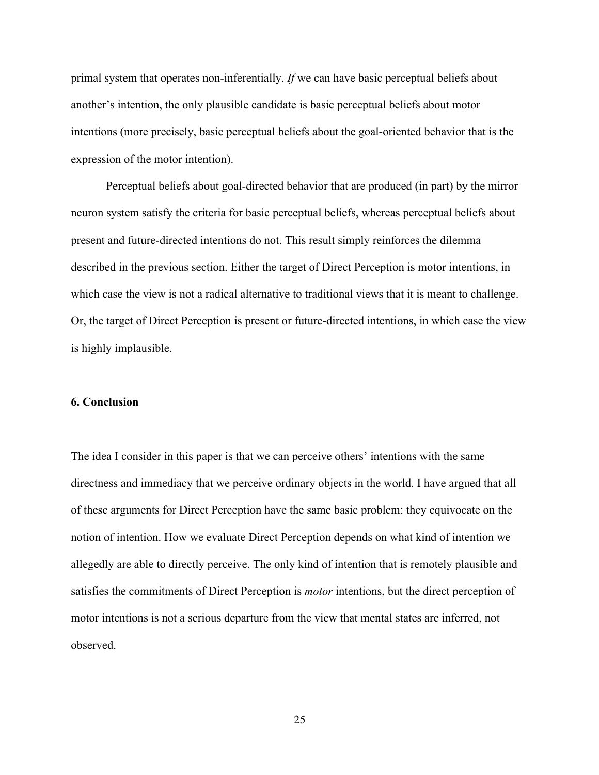primal system that operates non-inferentially. *If* we can have basic perceptual beliefs about another's intention, the only plausible candidate is basic perceptual beliefs about motor intentions (more precisely, basic perceptual beliefs about the goal-oriented behavior that is the expression of the motor intention).

Perceptual beliefs about goal-directed behavior that are produced (in part) by the mirror neuron system satisfy the criteria for basic perceptual beliefs, whereas perceptual beliefs about present and future-directed intentions do not. This result simply reinforces the dilemma described in the previous section. Either the target of Direct Perception is motor intentions, in which case the view is not a radical alternative to traditional views that it is meant to challenge. Or, the target of Direct Perception is present or future-directed intentions, in which case the view is highly implausible.

#### **6. Conclusion**

The idea I consider in this paper is that we can perceive others' intentions with the same directness and immediacy that we perceive ordinary objects in the world. I have argued that all of these arguments for Direct Perception have the same basic problem: they equivocate on the notion of intention. How we evaluate Direct Perception depends on what kind of intention we allegedly are able to directly perceive. The only kind of intention that is remotely plausible and satisfies the commitments of Direct Perception is *motor* intentions, but the direct perception of motor intentions is not a serious departure from the view that mental states are inferred, not observed.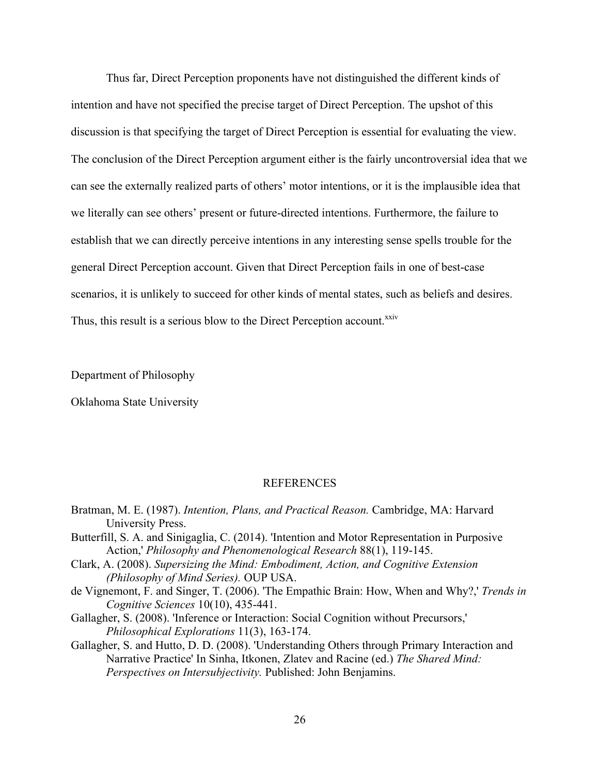Thus far, Direct Perception proponents have not distinguished the different kinds of intention and have not specified the precise target of Direct Perception. The upshot of this discussion is that specifying the target of Direct Perception is essential for evaluating the view. The conclusion of the Direct Perception argument either is the fairly uncontroversial idea that we can see the externally realized parts of others' motor intentions, or it is the implausible idea that we literally can see others' present or future-directed intentions. Furthermore, the failure to establish that we can directly perceive intentions in any interesting sense spells trouble for the general Direct Perception account. Given that Direct Perception fails in one of best-case scenarios, it is unlikely to succeed for other kinds of mental states, such as beliefs and desires. Thus, this result is a serious blow to the Direct Perception account.<sup>xxiv</sup>

Department of Philosophy

Oklahoma State University

#### REFERENCES

- Bratman, M. E. (1987). *Intention, Plans, and Practical Reason.* Cambridge, MA: Harvard University Press. Butterfill, S. A. and Sinigaglia, C. (2014). 'Intention and Motor Representation in Purposive
- Action,' *Philosophy and Phenomenological Research* 88(1), 119-145. Clark, A. (2008). *Supersizing the Mind: Embodiment, Action, and Cognitive Extension (Philosophy of Mind Series).* OUP USA.
- de Vignemont, F. and Singer, T. (2006). 'The Empathic Brain: How, When and Why?,' *Trends in Cognitive Sciences* 10(10), 435-441.
- Gallagher, S. (2008). 'Inference or Interaction: Social Cognition without Precursors,' *Philosophical Explorations* 11(3), 163-174.
- Gallagher, S. and Hutto, D. D. (2008). 'Understanding Others through Primary Interaction and Narrative Practice' In Sinha, Itkonen, Zlatev and Racine (ed.) *The Shared Mind: Perspectives on Intersubjectivity.* Published: John Benjamins.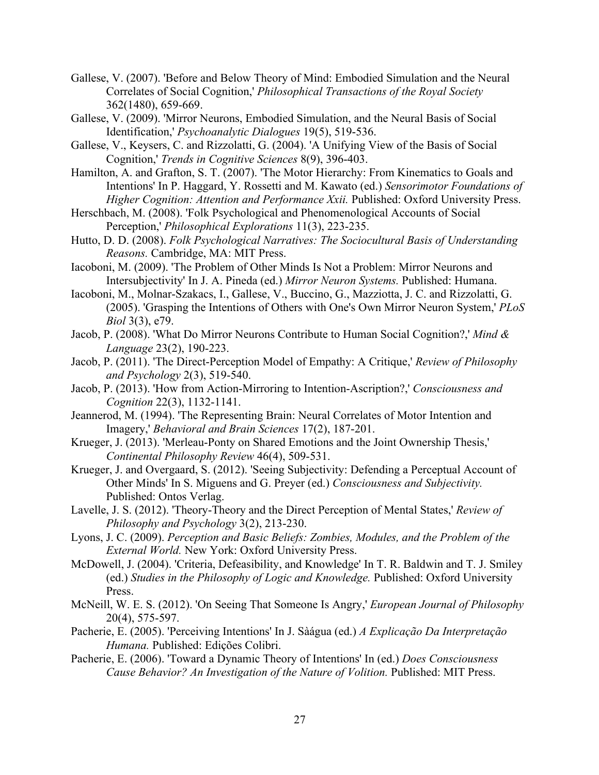- Gallese, V. (2007). 'Before and Below Theory of Mind: Embodied Simulation and the Neural Correlates of Social Cognition,' *Philosophical Transactions of the Royal Society*  362(1480), 659-669.
- Gallese, V. (2009). 'Mirror Neurons, Embodied Simulation, and the Neural Basis of Social Identification,' *Psychoanalytic Dialogues* 19(5), 519-536.
- Gallese, V., Keysers, C. and Rizzolatti, G. (2004). 'A Unifying View of the Basis of Social Cognition,' *Trends in Cognitive Sciences* 8(9), 396-403.
- Hamilton, A. and Grafton, S. T. (2007). 'The Motor Hierarchy: From Kinematics to Goals and Intentions' In P. Haggard, Y. Rossetti and M. Kawato (ed.) *Sensorimotor Foundations of Higher Cognition: Attention and Performance Xxii. Published: Oxford University Press.*
- Herschbach, M. (2008). 'Folk Psychological and Phenomenological Accounts of Social Perception,' *Philosophical Explorations* 11(3), 223-235.
- Hutto, D. D. (2008). *Folk Psychological Narratives: The Sociocultural Basis of Understanding Reasons.* Cambridge, MA: MIT Press.
- Iacoboni, M. (2009). 'The Problem of Other Minds Is Not a Problem: Mirror Neurons and Intersubjectivity' In J. A. Pineda (ed.) *Mirror Neuron Systems.* Published: Humana.
- Iacoboni, M., Molnar-Szakacs, I., Gallese, V., Buccino, G., Mazziotta, J. C. and Rizzolatti, G. (2005). 'Grasping the Intentions of Others with One's Own Mirror Neuron System,' *PLoS Biol* 3(3), e79.
- Jacob, P. (2008). 'What Do Mirror Neurons Contribute to Human Social Cognition?,' *Mind & Language* 23(2), 190-223.
- Jacob, P. (2011). 'The Direct-Perception Model of Empathy: A Critique,' *Review of Philosophy and Psychology* 2(3), 519-540.
- Jacob, P. (2013). 'How from Action-Mirroring to Intention-Ascription?,' *Consciousness and Cognition* 22(3), 1132-1141.
- Jeannerod, M. (1994). 'The Representing Brain: Neural Correlates of Motor Intention and Imagery,' *Behavioral and Brain Sciences* 17(2), 187-201.
- Krueger, J. (2013). 'Merleau-Ponty on Shared Emotions and the Joint Ownership Thesis,' *Continental Philosophy Review* 46(4), 509-531.
- Krueger, J. and Overgaard, S. (2012). 'Seeing Subjectivity: Defending a Perceptual Account of Other Minds' In S. Miguens and G. Preyer (ed.) *Consciousness and Subjectivity.*  Published: Ontos Verlag.
- Lavelle, J. S. (2012). 'Theory-Theory and the Direct Perception of Mental States,' *Review of Philosophy and Psychology* 3(2), 213-230.
- Lyons, J. C. (2009). *Perception and Basic Beliefs: Zombies, Modules, and the Problem of the External World.* New York: Oxford University Press.
- McDowell, J. (2004). 'Criteria, Defeasibility, and Knowledge' In T. R. Baldwin and T. J. Smiley (ed.) *Studies in the Philosophy of Logic and Knowledge.* Published: Oxford University Press.
- McNeill, W. E. S. (2012). 'On Seeing That Someone Is Angry,' *European Journal of Philosophy*  20(4), 575-597.
- Pacherie, E. (2005). 'Perceiving Intentions' In J. Sàágua (ed.) *A Explicação Da Interpretação Humana.* Published: Edições Colibri.
- Pacherie, E. (2006). 'Toward a Dynamic Theory of Intentions' In (ed.) *Does Consciousness Cause Behavior? An Investigation of the Nature of Volition.* Published: MIT Press.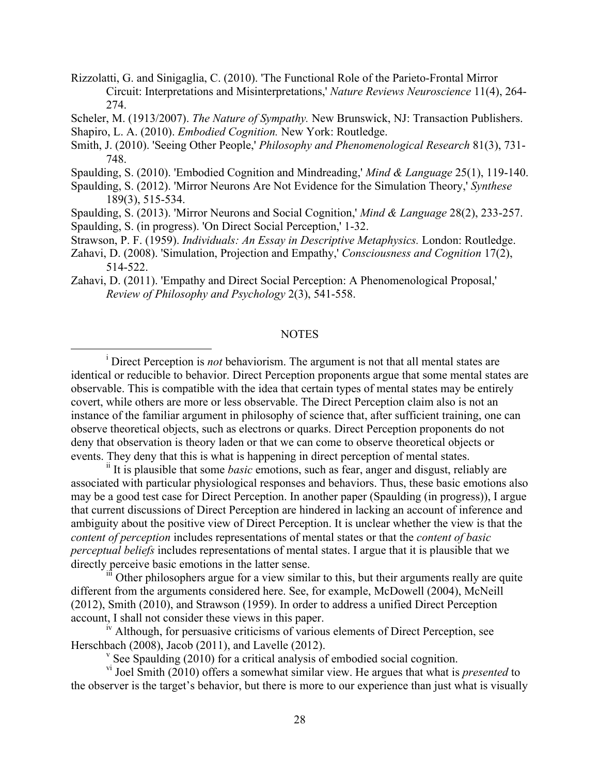Rizzolatti, G. and Sinigaglia, C. (2010). 'The Functional Role of the Parieto-Frontal Mirror Circuit: Interpretations and Misinterpretations,' *Nature Reviews Neuroscience* 11(4), 264- 274.

Scheler, M. (1913/2007). *The Nature of Sympathy.* New Brunswick, NJ: Transaction Publishers. Shapiro, L. A. (2010). *Embodied Cognition.* New York: Routledge.

- Smith, J. (2010). 'Seeing Other People,' *Philosophy and Phenomenological Research* 81(3), 731- 748.
- Spaulding, S. (2010). 'Embodied Cognition and Mindreading,' *Mind & Language* 25(1), 119-140.

Spaulding, S. (2012). 'Mirror Neurons Are Not Evidence for the Simulation Theory,' *Synthese*  189(3), 515-534.

- Spaulding, S. (2013). 'Mirror Neurons and Social Cognition,' *Mind & Language* 28(2), 233-257. Spaulding, S. (in progress). 'On Direct Social Perception,' 1-32.
- Strawson, P. F. (1959). *Individuals: An Essay in Descriptive Metaphysics.* London: Routledge.

Zahavi, D. (2008). 'Simulation, Projection and Empathy,' *Consciousness and Cognition* 17(2), 514-522.

Zahavi, D. (2011). 'Empathy and Direct Social Perception: A Phenomenological Proposal,' *Review of Philosophy and Psychology* 2(3), 541-558.

## **NOTES**

 $\overline{\phantom{a}}$ Direct Perception is *not* behaviorism. The argument is not that all mental states are identical or reducible to behavior. Direct Perception proponents argue that some mental states are observable. This is compatible with the idea that certain types of mental states may be entirely covert, while others are more or less observable. The Direct Perception claim also is not an instance of the familiar argument in philosophy of science that, after sufficient training, one can observe theoretical objects, such as electrons or quarks. Direct Perception proponents do not deny that observation is theory laden or that we can come to observe theoretical objects or events. They deny that this is what is happening in direct perception of mental states.

<sup>11</sup> It is plausible that some *basic* emotions, such as fear, anger and disgust, reliably are associated with particular physiological responses and behaviors. Thus, these basic emotions also may be a good test case for Direct Perception. In another paper (Spaulding (in progress)), I argue that current discussions of Direct Perception are hindered in lacking an account of inference and ambiguity about the positive view of Direct Perception. It is unclear whether the view is that the *content of perception* includes representations of mental states or that the *content of basic perceptual beliefs* includes representations of mental states. I argue that it is plausible that we directly perceive basic emotions in the latter sense.

i<sup>ii</sup> Other philosophers argue for a view similar to this, but their arguments really are quite different from the arguments considered here. See, for example, McDowell (2004), McNeill (2012), Smith (2010), and Strawson (1959). In order to address a unified Direct Perception account, I shall not consider these views in this paper.

<sup>iv</sup> Although, for persuasive criticisms of various elements of Direct Perception, see Herschbach (2008), Jacob (2011), and Lavelle (2012).<br><sup>v</sup> See Spaulding (2010) for a critical analysis of embodied social cognition.

vi Joel Smith (2010) offers a somewhat similar view. He argues that what is *presented* to the observer is the target's behavior, but there is more to our experience than just what is visually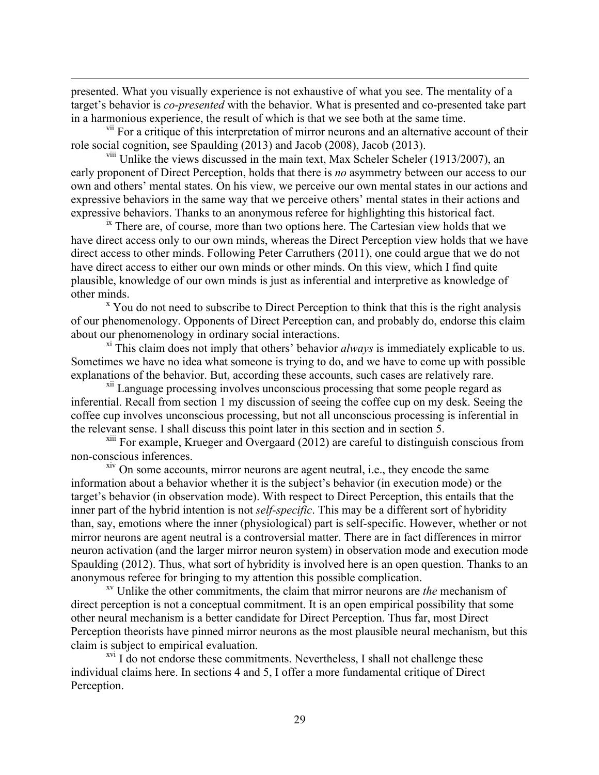presented. What you visually experience is not exhaustive of what you see. The mentality of a target's behavior is *co-presented* with the behavior. What is presented and co-presented take part in a harmonious experience, the result of which is that we see both at the same time.

 $\overline{a}$ 

<sup>vii</sup> For a critique of this interpretation of mirror neurons and an alternative account of their role social cognition, see Spaulding (2013) and Jacob (2008), Jacob (2013).<br><sup>viii</sup> Unlike the views discussed in the main text, Max Scheler Scheler (1913/2007), an

early proponent of Direct Perception, holds that there is *no* asymmetry between our access to our own and others' mental states. On his view, we perceive our own mental states in our actions and expressive behaviors in the same way that we perceive others' mental states in their actions and expressive behaviors. Thanks to an anonymous referee for highlighting this historical fact.

 $\mu$ <sup>x</sup> There are, of course, more than two options here. The Cartesian view holds that we have direct access only to our own minds, whereas the Direct Perception view holds that we have direct access to other minds. Following Peter Carruthers (2011), one could argue that we do not have direct access to either our own minds or other minds. On this view, which I find quite plausible, knowledge of our own minds is just as inferential and interpretive as knowledge of other minds.<br><sup>x</sup> You do not need to subscribe to Direct Perception to think that this is the right analysis

of our phenomenology. Opponents of Direct Perception can, and probably do, endorse this claim about our phenomenology in ordinary social interactions.

xi This claim does not imply that others' behavior *always* is immediately explicable to us. Sometimes we have no idea what someone is trying to do, and we have to come up with possible explanations of the behavior. But, according these accounts, such cases are relatively rare.

<sup>xii</sup> Language processing involves unconscious processing that some people regard as inferential. Recall from section 1 my discussion of seeing the coffee cup on my desk. Seeing the coffee cup involves unconscious processing, but not all unconscious processing is inferential in the relevant sense. I shall discuss this point later in this section and in section 5.

 $x$ <sup>iii</sup> For example, Krueger and Overgaard (2012) are careful to distinguish conscious from non-conscious inferences.

 $x<sup>iv</sup>$  On some accounts, mirror neurons are agent neutral, i.e., they encode the same information about a behavior whether it is the subject's behavior (in execution mode) or the target's behavior (in observation mode). With respect to Direct Perception, this entails that the inner part of the hybrid intention is not *self-specific*. This may be a different sort of hybridity than, say, emotions where the inner (physiological) part is self-specific. However, whether or not mirror neurons are agent neutral is a controversial matter. There are in fact differences in mirror neuron activation (and the larger mirror neuron system) in observation mode and execution mode Spaulding (2012). Thus, what sort of hybridity is involved here is an open question. Thanks to an anonymous referee for bringing to my attention this possible complication.<br><sup>xv</sup> Unlike the other commitments, the claim that mirror neurons are *the* mechanism of

direct perception is not a conceptual commitment. It is an open empirical possibility that some other neural mechanism is a better candidate for Direct Perception. Thus far, most Direct Perception theorists have pinned mirror neurons as the most plausible neural mechanism, but this claim is subject to empirical evaluation.

 $\frac{x}{x}$  I do not endorse these commitments. Nevertheless, I shall not challenge these individual claims here. In sections 4 and 5, I offer a more fundamental critique of Direct Perception.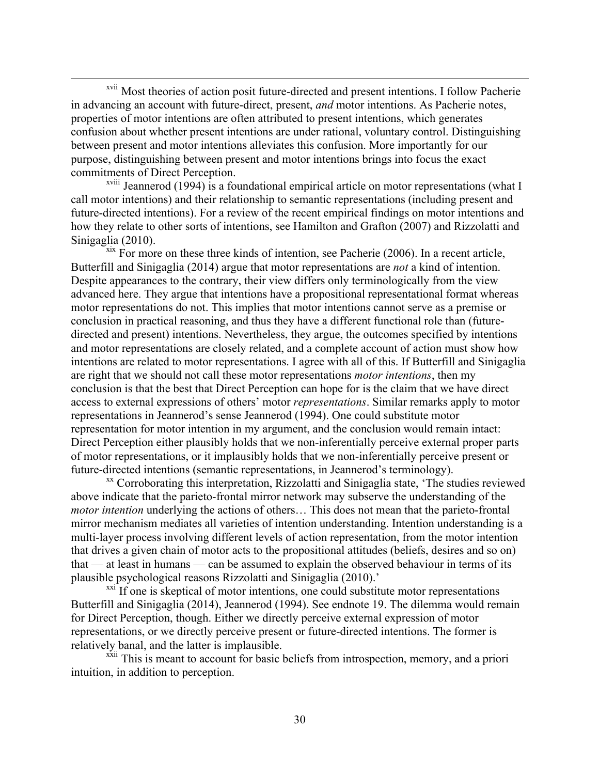xvii Most theories of action posit future-directed and present intentions. I follow Pacherie in advancing an account with future-direct, present, *and* motor intentions. As Pacherie notes, properties of motor intentions are often attributed to present intentions, which generates confusion about whether present intentions are under rational, voluntary control. Distinguishing between present and motor intentions alleviates this confusion. More importantly for our purpose, distinguishing between present and motor intentions brings into focus the exact commitments of Direct Perception.

xviii Jeannerod (1994) is a foundational empirical article on motor representations (what I call motor intentions) and their relationship to semantic representations (including present and future-directed intentions). For a review of the recent empirical findings on motor intentions and how they relate to other sorts of intentions, see Hamilton and Grafton (2007) and Rizzolatti and Sinigaglia (2010).<br><sup>xix</sup> For more on these three kinds of intention, see Pacherie (2006). In a recent article,

Butterfill and Sinigaglia (2014) argue that motor representations are *not* a kind of intention. Despite appearances to the contrary, their view differs only terminologically from the view advanced here. They argue that intentions have a propositional representational format whereas motor representations do not. This implies that motor intentions cannot serve as a premise or conclusion in practical reasoning, and thus they have a different functional role than (futuredirected and present) intentions. Nevertheless, they argue, the outcomes specified by intentions and motor representations are closely related, and a complete account of action must show how intentions are related to motor representations. I agree with all of this. If Butterfill and Sinigaglia are right that we should not call these motor representations *motor intentions*, then my conclusion is that the best that Direct Perception can hope for is the claim that we have direct access to external expressions of others' motor *representations*. Similar remarks apply to motor representations in Jeannerod's sense Jeannerod (1994). One could substitute motor representation for motor intention in my argument, and the conclusion would remain intact: Direct Perception either plausibly holds that we non-inferentially perceive external proper parts of motor representations, or it implausibly holds that we non-inferentially perceive present or future-directed intentions (semantic representations, in Jeannerod's terminology).

xx Corroborating this interpretation, Rizzolatti and Sinigaglia state, 'The studies reviewed above indicate that the parieto-frontal mirror network may subserve the understanding of the *motor intention* underlying the actions of others... This does not mean that the parieto-frontal mirror mechanism mediates all varieties of intention understanding. Intention understanding is a multi-layer process involving different levels of action representation, from the motor intention that drives a given chain of motor acts to the propositional attitudes (beliefs, desires and so on) that — at least in humans — can be assumed to explain the observed behaviour in terms of its plausible psychological reasons Rizzolatti and Sinigaglia (2010).'

 $xxi$ <sup>If</sup> one is skeptical of motor intentions, one could substitute motor representations Butterfill and Sinigaglia (2014), Jeannerod (1994). See endnote 19. The dilemma would remain for Direct Perception, though. Either we directly perceive external expression of motor representations, or we directly perceive present or future-directed intentions. The former is relatively banal, and the latter is implausible.

 $\overrightarrow{x}$ <sup>xxii</sup> This is meant to account for basic beliefs from introspection, memory, and a priori intuition, in addition to perception.